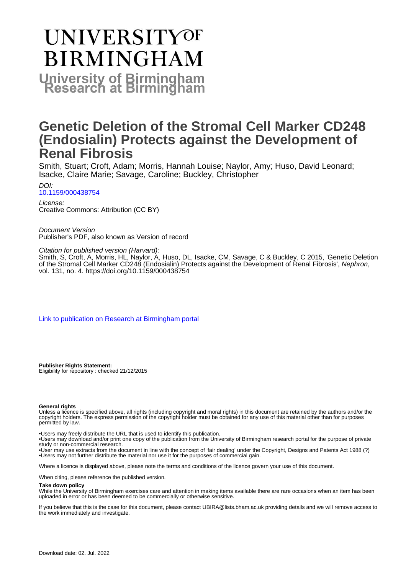# **UNIVERSITYOF BIRMINGHAM University of Birmingham**

# **Genetic Deletion of the Stromal Cell Marker CD248 (Endosialin) Protects against the Development of Renal Fibrosis**

Smith, Stuart; Croft, Adam; Morris, Hannah Louise; Naylor, Amy; Huso, David Leonard; Isacke, Claire Marie; Savage, Caroline; Buckley, Christopher

DOI: [10.1159/000438754](https://doi.org/10.1159/000438754)

License: Creative Commons: Attribution (CC BY)

Document Version Publisher's PDF, also known as Version of record

Citation for published version (Harvard):

Smith, S, Croft, A, Morris, HL, Naylor, A, Huso, DL, Isacke, CM, Savage, C & Buckley, C 2015, 'Genetic Deletion of the Stromal Cell Marker CD248 (Endosialin) Protects against the Development of Renal Fibrosis', Nephron, vol. 131, no. 4.<https://doi.org/10.1159/000438754>

[Link to publication on Research at Birmingham portal](https://birmingham.elsevierpure.com/en/publications/d0be4053-f954-4a33-94bb-24a2a29b282c)

**Publisher Rights Statement:** Eligibility for repository : checked 21/12/2015

#### **General rights**

Unless a licence is specified above, all rights (including copyright and moral rights) in this document are retained by the authors and/or the copyright holders. The express permission of the copyright holder must be obtained for any use of this material other than for purposes permitted by law.

• Users may freely distribute the URL that is used to identify this publication.

• Users may download and/or print one copy of the publication from the University of Birmingham research portal for the purpose of private study or non-commercial research.

• User may use extracts from the document in line with the concept of 'fair dealing' under the Copyright, Designs and Patents Act 1988 (?) • Users may not further distribute the material nor use it for the purposes of commercial gain.

Where a licence is displayed above, please note the terms and conditions of the licence govern your use of this document.

When citing, please reference the published version.

#### **Take down policy**

While the University of Birmingham exercises care and attention in making items available there are rare occasions when an item has been uploaded in error or has been deemed to be commercially or otherwise sensitive.

If you believe that this is the case for this document, please contact UBIRA@lists.bham.ac.uk providing details and we will remove access to the work immediately and investigate.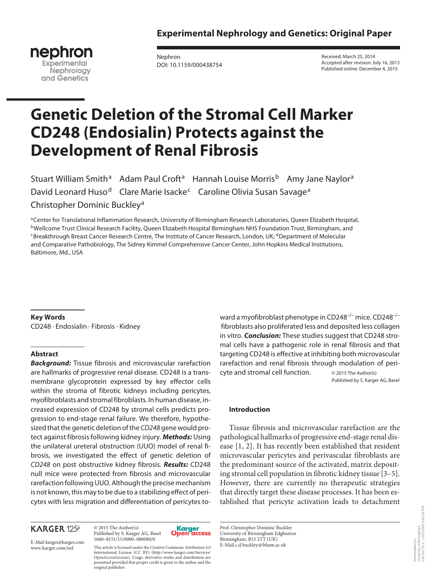# **Experimental Nephrology and Genetics: Original Paper**



 Nephron DOI: 10.1159/000438754  Received: March 25, 2014 Accepted after revision: July 16, 2015 Published online: December 4, 2015

# **Genetic Deletion of the Stromal Cell Marker CD248 (Endosialin) Protects against the Development of Renal Fibrosis**

Stuart William Smith<sup>a</sup> Adam Paul Croft<sup>a</sup> Hannah Louise Morris<sup>b</sup> Amy Jane Naylor<sup>a</sup> David Leonard Huso<sup>d</sup> Clare Marie Isacke<sup>c</sup> Caroline Olivia Susan Savage<sup>a</sup> Christopher Dominic Buckley<sup>a</sup>

a Center for Translational Inflammation Research, University of Birmingham Research Laboratories, Queen Elizabeth Hospital, b Wellcome Trust Clinical Research Facility, Queen Elizabeth Hospital Birmingham NHS Foundation Trust, Birmingham , and <sup>c</sup> Breakthrough Breast Cancer Research Centre, The Institute of Cancer Research, London, UK; <sup>d</sup> Department of Molecular and Comparative Pathobiology, The Sidney Kimmel Comprehensive Cancer Center, John Hopkins Medical Institutions, Baltimore, Md., USA

#### **Key Words**

CD248 · Endosialin · Fibrosis · Kidney

#### **Abstract**

*Background:* Tissue fibrosis and microvascular rarefaction are hallmarks of progressive renal disease. CD248 is a transmembrane glycoprotein expressed by key effector cells within the stroma of fibrotic kidneys including pericytes, myofibroblasts and stromal fibroblasts. In human disease, increased expression of CD248 by stromal cells predicts progression to end-stage renal failure. We therefore, hypothesized that the genetic deletion of the CD248 gene would protect against fibrosis following kidney injury. *Methods:* Using the unilateral ureteral obstruction (UUO) model of renal fibrosis, we investigated the effect of genetic deletion of CD248 on post obstructive kidney fibrosis. *Results:* CD248 null mice were protected from fibrosis and microvascular rarefaction following UUO. Although the precise mechanism is not known, this may to be due to a stabilizing effect of pericytes with less migration and differentiation of pericytes to-

# **KARGER 125**

E-Mail karger@karger.com

© 2015 The Author(s) Published by S. Karger AG, Basel 1660–8151/15/0000–0000\$0/0



 www.karger.com/nef This article is licensed under the Creative Commons Attribution 4.0 International License (CC BY) (http://www.karger.com/Services/ OpenAccessLicense). Usage, derivative works and distribution are permitted provided that proper credit is given to the author and the original publisher.

ward a myofibroblast phenotype in CD248<sup>-/-</sup> mice. CD248<sup>-/-</sup> fibroblasts also proliferated less and deposited less collagen in vitro. *Conclusion:* These studies suggest that CD248 stromal cells have a pathogenic role in renal fibrosis and that targeting CD248 is effective at inhibiting both microvascular rarefaction and renal fibrosis through modulation of pericyte and stromal cell function. © 2015 The Author(s) Published by S. Karger AG, Basel

#### **Introduction**

 Tissue fibrosis and microvascular rarefaction are the pathological hallmarks of progressive end-stage renal disease [1, 2]. It has recently been established that resident microvascular pericytes and perivascular fibroblasts are the predominant source of the activated, matrix depositing stromal cell population in fibrotic kidney tissue [3–5] . However, there are currently no therapeutic strategies that directly target these disease processes. It has been established that pericyte activation leads to detachment

 Prof. Christopher Dominic Buckley University of Birmingham Edgbaston Birmingham, B15 2TT (UK) E-Mail c.d.buckley @ bham.ac.uk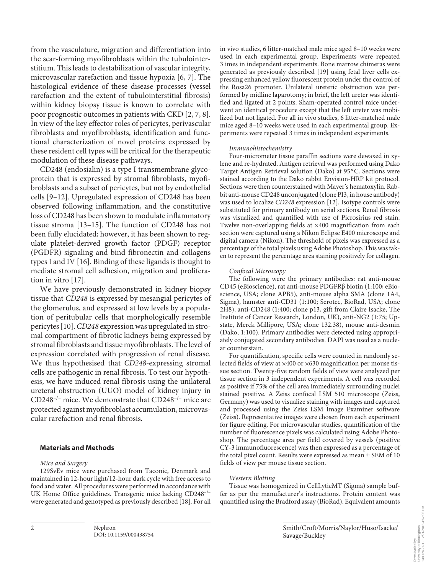from the vasculature, migration and differentiation into the scar-forming myofibroblasts within the tubulointerstitium. This leads to destabilization of vascular integrity, microvascular rarefaction and tissue hypoxia [6, 7]. The histological evidence of these disease processes (vessel rarefaction and the extent of tubulointerstitial fibrosis) within kidney biopsy tissue is known to correlate with poor prognostic outcomes in patients with CKD [2, 7, 8] . In view of the key effector roles of pericytes, perivascular fibroblasts and myofibroblasts, identification and functional characterization of novel proteins expressed by these resident cell types will be critical for the therapeutic modulation of these disease pathways.

 CD248 (endosialin) is a type I transmembrane glycoprotein that is expressed by stromal fibroblasts, myofibroblasts and a subset of pericytes, but not by endothelial cells [9–12] . Upregulated expression of CD248 has been observed following inflammation, and the constitutive loss of CD248 has been shown to modulate inflammatory tissue stroma [13–15]. The function of CD248 has not been fully elucidated; however, it has been shown to regulate platelet-derived growth factor (PDGF) receptor (PGDFR) signaling and bind fibronectin and collagens types I and IV [16] . Binding of these ligands is thought to mediate stromal cell adhesion, migration and proliferation in vitro [17].

 We have previously demonstrated in kidney biopsy tissue that *CD248* is expressed by mesangial pericytes of the glomerulus, and expressed at low levels by a population of peritubular cells that morphologically resemble pericytes [10]. *CD248* expression was upregulated in stromal compartment of fibrotic kidneys being expressed by stromal fibroblasts and tissue myofibroblasts. The level of expression correlated with progression of renal disease. We thus hypothesised that *CD248* -expressing stromal cells are pathogenic in renal fibrosis. To test our hypothesis, we have induced renal fibrosis using the unilateral ureteral obstruction (UUO) model of kidney injury in  $CD248^{-/-}$  mice. We demonstrate that  $CD248^{-/-}$  mice are protected against myofibroblast accumulation, microvascular rarefaction and renal fibrosis.

#### **Materials and Methods**

#### *Mice and Surgery*

 129SvEv mice were purchased from Taconic, Denmark and maintained in 12-hour light/12-hour dark cycle with free access to food and water. All procedures were performed in accordance with UK Home Office guidelines. Transgenic mice lacking CD248<sup>-/-</sup> were generated and genotyped as previously described [18] . For all in vivo studies, 6 litter-matched male mice aged 8–10 weeks were used in each experimental group. Experiments were repeated 3 imes in independent experiments. Bone marrow chimeras were generated as previously described [19] using fetal liver cells expressing enhanced yellow fluorescent protein under the control of the Rosa26 promoter. Unilateral ureteric obstruction was performed by midline laparotomy; in brief, the left ureter was identified and ligated at 2 points. Sham-operated control mice underwent an identical procedure except that the left ureter was mobilized but not ligated. For all in vivo studies, 6 litter-matched male mice aged 8–10 weeks were used in each experimental group. Experiments were repeated 3 times in independent experiments.

#### *Immunohistochemistry*

 Four-micrometer tissue paraffin sections were dewaxed in xylene and re-hydrated. Antigen retrieval was performed using Dako Target Antigen Retrieval solution (Dako) at 95°C. Sections were stained according to the Dako rabbit Envision-HRP kit protocol. Sections were then counterstained with Mayer's hematoxylin. Rabbit anti-mouse CD248 unconjugated (clone PI3, in house antibody) was used to localize *CD248* expression [12]. Isotype controls were substituted for primary antibody on serial sections. Renal fibrosis was visualized and quantified with use of Picrosirius red stain. Twelve non-overlapping fields at ×400 magnification from each section were captured using a Nikon Eclipse E400 microscope and digital camera (Nikon). The threshold of pixels was expressed as a percentage of the total pixels using Adobe Photoshop. This was taken to represent the percentage area staining positively for collagen.

#### *Confocal Microscopy*

 The following were the primary antibodies: rat anti-mouse CD45 (eBioscience), rat anti-mouse PDGFRβ biotin (1:100; eBioscience, USA; clone APB5), anti-mouse alpha SMA (clone 1A4, Sigma), hamster anti-CD31 (1:100; Serotec, BioRad, USA; clone 2H8), anti-CD248 (1:400; clone p13, gift from Claire Isacke, The Institute of Cancer Research, London, UK), anti-NG2 (1:75; Upstate, Merck Millipore, USA; clone 132.38), mouse anti-desmin (Dako, 1:100). Primary antibodies were detected using appropriately conjugated secondary antibodies. DAPI was used as a nuclear counterstain.

 For quantification, specific cells were counted in randomly selected fields of view at ×400 or ×630 magnification per mouse tissue section. Twenty-five random fields of view were analyzed per tissue section in 3 independent experiments. A cell was recorded as positive if 75% of the cell area immediately surrounding nuclei stained positive. A Zeiss confocal LSM 510 microscope (Zeiss, Germany) was used to visualize staining with images and captured and processed using the Zeiss LSM Image Examiner software (Zeiss). Representative images were chosen from each experiment for figure editing. For microvascular studies, quantification of the number of fluorescence pixels was calculated using Adobe Photoshop. The percentage area per field covered by vessels (positive CY-3 immunofluorescence) was then expressed as a percentage of the total pixel count. Results were expressed as mean ± SEM of 10 fields of view per mouse tissue section.

#### *Western Blotting*

 Tissue was homogenized in CellLyticMT (Sigma) sample buffer as per the manufacturer's instructions. Protein content was quantified using the Bradford assay (BioRad). Equivalent amounts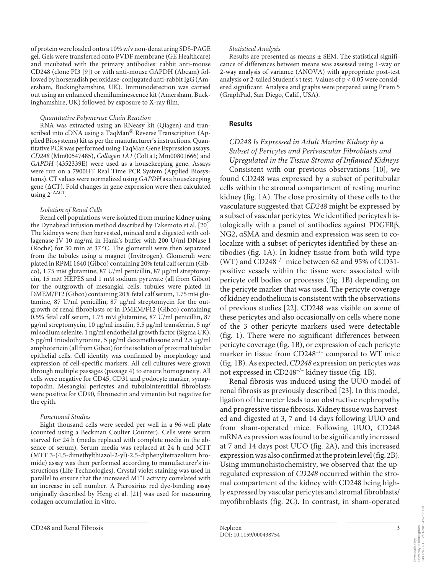of protein were loaded onto a 10% w/v non-denaturing SDS-PAGE gel. Gels were transferred onto PVDF membrane (GE Healthcare) and incubated with the primary antibodies: rabbit anti-mouse CD248 (clone PI3 [9]) or with anti-mouse GAPDH (Abcam) followed by horseradish peroxidase-conjugated anti-rabbit IgG (Amersham, Buckinghamshire, UK). Immunodetection was carried out using an enhanced chemiluminescence kit (Amersham, Buckinghamshire, UK) followed by exposure to X-ray film.

#### *Quantitative Polymerase Chain Reaction*

 RNA was extracted using an RNeasy kit (Qiagen) and transcribed into cDNA using a TaqMan® Reverse Transcription (Applied Biosystems) kit as per the manufacturer's instructions. Quantitative PCR was performed using TaqMan Gene Expression assays; *CD248* (Mm00547485), *Collagen 1A1* (Col1a1; Mm00801666) and *GAPDH* (4352339E) were used as a housekeeping gene. Assays were run on a 7900HT Real Time PCR System (Applied Biosystems). CT values were normalized using *GAPDH* as a housekeeping gene (ΔCT). Fold changes in gene expression were then calculated using  $2^{-\Delta\Delta}$ CT.

#### *Isolation of Renal Cells*

 Renal cell populations were isolated from murine kidney using the Dynabead infusion method described by Takemoto et al. [20] . The kidneys were then harvested, minced and a digested with collagenase IV 10 mg/ml in Hank's buffer with 200 U/ml DNase I (Roche) for 30 min at 37°C. The glomeruli were then separated from the tubules using a magnet (Invitrogen). Glomeruli were plated in RPMI 1640 (Gibco) containing 20% fetal calf serum (Gibco), 1.75 mM glutamine, 87 U/ml penicillin, 87 μg/ml streptomycin, 15 mM HEPES and 1 mM sodium pyruvate (all from Gibco) for the outgrowth of mesangial cells; tubules were plated in DMEM/F12 (Gibco) containing 20% fetal calf serum, 1.75 mM glutamine, 87 U/ml penicillin, 87 μg/ml streptomycin for the outgrowth of renal fibroblasts or in DMEM/F12 (Gibco) containing 0.5% fetal calf serum, 1.75 mM glutamine, 87 U/ml penicillin, 87 μg/ml streptomycin, 10 μg/ml insulin, 5.5 μg/ml transferrin, 5 ng/ ml sodium selenite, 1 ng/ml endothelial growth factor (Sigma UK), 5 pg/ml triiodothyronine, 5 μg/ml dexamethasone and 2.5 μg/ml amphotericin (all from Gibco) for the isolation of proximal tubular epithelial cells. Cell identity was confirmed by morphology and expression of cell-specific markers. All cell cultures were grown through multiple passages (passage 4) to ensure homogeneity. All cells were negative for CD45, CD31 and podocyte marker, synaptopodin. Mesangial pericytes and tubulointerstitial fibroblasts were positive for CD90, fibronectin and vimentin but negative for the epith.

#### *Functional Studies*

 Eight thousand cells were seeded per well in a 96-well plate (counted using a Beckman Coulter Counter). Cells were serum starved for 24 h (media replaced with complete media in the absence of serum). Serum media was replaced at 24 h and MTT (MTT 3-(4,5-dimethylthiazol-2-yl)-2,5-diphenyltetrazolium bromide) assay was then performed according to manufacturer's instructions (Life Technologies). Crystal violet staining was used in parallel to ensure that the increased MTT activity correlated with an increase in cell number. A Picrosirius red dye-binding assay originally described by Heng et al. [21] was used for measuring collagen accumulation in vitro.

#### *Statistical Analysis*

Results are presented as means  $\pm$  SEM. The statistical significance of differences between means was assessed using 1-way or 2-way analysis of variance (ANOVA) with appropriate post-test analysis or 2-tailed Student's t test. Values of p < 0.05 were considered significant. Analysis and graphs were prepared using Prism 5 (GraphPad, San Diego, Calif., USA).

#### **Results**

# *CD248 Is Expressed in Adult Murine Kidney by a Subset of Pericytes and Perivascular Fibroblasts and Upregulated in the Tissue Stroma of Inflamed Kidneys*

Consistent with our previous observations [10], we found CD248 was expressed by a subset of peritubular cells within the stromal compartment of resting murine kidney (fig. 1A). The close proximity of these cells to the vasculature suggested that *CD248* might be expressed by a subset of vascular pericytes. We identified pericytes histologically with a panel of antibodies against PDGFRβ, NG2, αSMA and desmin and expression was seen to colocalize with a subset of pericytes identified by these antibodies (fig. 1A). In kidney tissue from both wild type (WT) and  $CD248^{-/-}$  mice between 62 and 95% of CD31positive vessels within the tissue were associated with pericyte cell bodies or processes (fig. 1B) depending on the pericyte marker that was used. The pericyte coverage of kidney endothelium is consistent with the observations of previous studies [22]. CD248 was visible on some of these pericytes and also occasionally on cells where none of the 3 other pericyte markers used were detectable ( $fig. 1$ ). There were no significant differences between pericyte coverage (fig. 1B), or expression of each pericyte marker in tissue from  $CD248^{-/-}$  compared to WT mice ( fig. 1 B). As expected, *CD248* expression on pericytes was not expressed in  $CD248^{-/-}$  kidney tissue (fig. 1B).

 Renal fibrosis was induced using the UUO model of renal fibrosis as previously described [23] . In this model, ligation of the ureter leads to an obstructive nephropathy and progressive tissue fibrosis. Kidney tissue was harvested and digested at 3, 7 and 14 days following UUO and from sham-operated mice. Following UUO, CD248 mRNA expression was found to be significantly increased at 7 and 14 days post UUO (fig. 2A), and this increased expression was also confirmed at the protein level (fig. 2B). Using immunohistochemistry, we observed that the upregulated expression of *CD248* occurred within the stromal compartment of the kidney with CD248 being highly expressed by vascular pericytes and stromal fibroblasts/ myofibroblasts (fig. 2C). In contrast, in sham-operated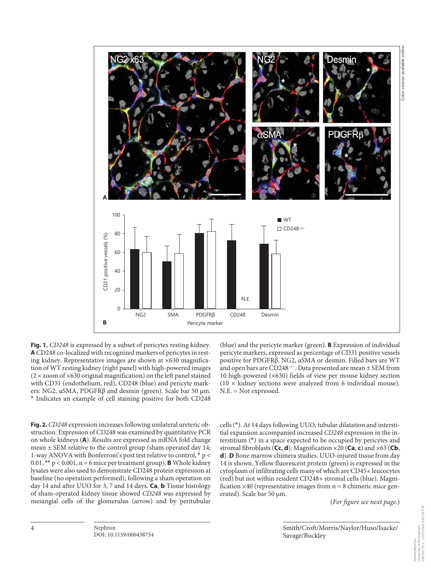

**Fig. 1.** *CD248* is expressed by a subset of pericytes resting kidney. **A** CD248 co-localized with recognized markers of pericytes in resting kidney. Representative images are shown at ×630 magnification of WT resting kidney (right panel) with high-powered images  $(2 \times$  zoom of  $\times$  630 original magnification) on the left panel stained with CD31 (endothelium, red), CD248 (blue) and pericyte markers: NG2, αSMA, PDGFRβ and desmin (green). Scale bar 50 μm. \* Indicates an example of cell staining positive for both CD248

(blue) and the pericyte marker (green). **B** Expression of individual pericyte markers, expressed as percentage of CD31 positive vessels positive for PDGFRβ, NG2, αSMA or desmin. Filled bars are WT and open bars are  $CD248^{-/-}$ . Data presented are mean  $\pm$  SEM from 10 high-powered (×630) fields of view per mouse kidney section (10  $\times$  kidney sections were analyzed from 6 individual mouse). N.E. = Not expressed.

**Fig. 2.** *CD248* expression increases following unilateral ureteric obstruction. Expression of CD248 was examined by quantitative PCR on whole kidneys (A). Results are expressed as mRNA fold change mean ± SEM relative to the control group (sham operated day 14; 1-way ANOVA with Bonferroni's post test relative to control, \* p < 0.01, \*\*  $p < 0.001$ ,  $n = 6$  mice per treatment group). **B** Whole kidney lysates were also used to demonstrate CD248 protein expression at baseline (no operation performed), following a sham operation on day 14 and after UUO for 3, 7 and 14 days. **Ca** , **b** Tissue histology of sham-operated kidney tissue showed *CD248* was expressed by mesangial cells of the glomerulus (arrow) and by peritubular

cells (\*). At 14 days following UUO, tubular dilatation and interstitial expansion accompanied increased *CD248* expression in the interstitium  $(*)$  in a space expected to be occupied by pericytes and stromal fibroblasts (Cc, d). Magnification ×20 (Ca, c) and ×63 (Cb, **d** ). **D** Bone marrow chimera studies. UUO-injured tissue from day 14 is shown. Yellow fluorescent protein (green) is expressed in the cytoplasm of infiltrating cells many of which are CD45+ leucocytes (red) but not within resident CD248+ stromal cells (blue). Magnification  $\times$ 40 (representative images from  $n = 8$  chimeric mice generated). Scale bar 50 μm.

(*For figure see next page.*)

Smith/Croft/Morris/Naylor/Huso/Isacke/ Savage/Buckley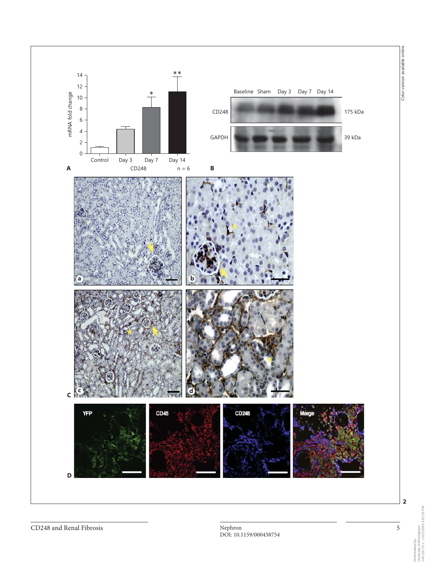

**2**

5

Downloaded by:<br>University of Birmingham<br>149.126.76.1 - 12/21/2015 4:52:26 PM 149.126.76.1 - 12/21/2015 4:52:26 PMUniversity of Birmingham Downloaded by: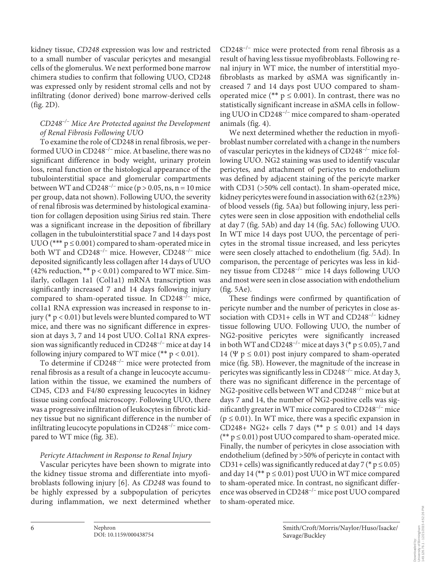kidney tissue, *CD248* expression was low and restricted to a small number of vascular pericytes and mesangial cells of the glomerulus. We next performed bone marrow chimera studies to confirm that following UUO, CD248 was expressed only by resident stromal cells and not by infiltrating (donor derived) bone marrow-derived cells  $(fig. 2D)$ .

### *CD248 –/– Mice Are Protected against the Development of Renal Fibrosis Following UUO*

 To examine the role of CD248 in renal fibrosis, we performed UUO in CD248<sup>-/-</sup> mice. At baseline, there was no significant difference in body weight, urinary protein loss, renal function or the histological appearance of the tubulointerstitial space and glomerular compartments between WT and CD248<sup>-/-</sup> mice ( $p > 0.05$ , ns, n = 10 mice per group, data not shown). Following UUO, the severity of renal fibrosis was determined by histological examination for collagen deposition using Sirius red stain. There was a significant increase in the deposition of fibrillary collagen in the tubulointerstitial space 7 and 14 days post UUO (\*\*\*  $p \le 0.001$ ) compared to sham-operated mice in both WT and CD248<sup>-/-</sup> mice. However, CD248<sup>-/-</sup> mice deposited significantly less collagen after 14 days of UUO (42% reduction, \*\* p < 0.01) compared to WT mice. Similarly, collagen 1a1 (Col1a1) mRNA transcription was significantly increased 7 and 14 days following injury compared to sham-operated tissue. In  $CD248^{-/-}$  mice, col1a1 RNA expression was increased in response to injury ( $* p < 0.01$ ) but levels were blunted compared to WT mice, and there was no significant difference in expression at days 3, 7 and 14 post UUO. Col1a1 RNA expression was significantly reduced in  $CD248^{-/-}$  mice at day 14 following injury compared to WT mice (\*\*  $p < 0.01$ ).

To determine if  $CD248^{-/-}$  mice were protected from renal fibrosis as a result of a change in leucocyte accumulation within the tissue, we examined the numbers of CD45, CD3 and F4/80 expressing leucocytes in kidney tissue using confocal microscopy. Following UUO, there was a progressive infiltration of leukocytes in fibrotic kidney tissue but no significant difference in the number of infiltrating leucocyte populations in  $CD248^{-/-}$  mice compared to WT mice (fig. 3E).

### *Pericyte Attachment in Response to Renal Injury*

 Vascular pericytes have been shown to migrate into the kidney tissue stroma and differentiate into myofibroblasts following injury [6] . As *CD248* was found to be highly expressed by a subpopulation of pericytes during inflammation, we next determined whether  $CD248^{-/-}$  mice were protected from renal fibrosis as a result of having less tissue myofibroblasts. Following renal injury in WT mice, the number of interstitial myofibroblasts as marked by αSMA was significantly increased 7 and 14 days post UUO compared to shamoperated mice (\*\*  $p \le 0.001$ ). In contrast, there was no statistically significant increase in αSMA cells in following UUO in CD248<sup>-/-</sup> mice compared to sham-operated animals ( $fig. 4$ ).

 We next determined whether the reduction in myofibroblast number correlated with a change in the numbers of vascular pericytes in the kidneys of CD248<sup>-/-</sup> mice following UUO. NG2 staining was used to identify vascular pericytes, and attachment of pericytes to endothelium was defined by adjacent staining of the pericyte marker with CD31 (>50% cell contact). In sham-operated mice, kidney pericytes were found in association with  $62 (\pm 23\%)$ of blood vessels ( fig. 5 Aa) but following injury, less pericytes were seen in close apposition with endothelial cells at day 7 ( fig. 5 Ab) and day 14 ( fig. 5 Ac) following UUO. In WT mice 14 days post UUO, the percentage of pericytes in the stromal tissue increased, and less pericytes were seen closely attached to endothelium (fig. 5Ad). In comparison, the percentage of pericytes was less in kidney tissue from CD248<sup>-/-</sup> mice 14 days following UUO and most were seen in close association with endothelium  $(fig. 5Ae).$ 

 These findings were confirmed by quantification of pericyte number and the number of pericytes in close association with CD31+ cells in WT and CD248<sup>-/-</sup> kidney tissue following UUO. Following UUO, the number of NG2-positive pericytes were significantly increased in both WT and CD248<sup>-/-</sup> mice at days 3 ( $\degree$  p  $\leq$  0.05), 7 and 14 (Ψ  $p \le 0.01$ ) post injury compared to sham-operated mice (fig. 5B). However, the magnitude of the increase in pericytes was significantly less in CD248<sup>-/-</sup> mice. At day 3, there was no significant difference in the percentage of NG2-positive cells between WT and CD248<sup>-/-</sup> mice but at days 7 and 14, the number of NG2-positive cells was significantly greater in WT mice compared to  $CD248^{-/-}$  mice ( $p \le 0.01$ ). In WT mice, there was a specific expansion in CD248+ NG2+ cells 7 days (\*\*  $p \le 0.01$ ) and 14 days (\*\*  $p \le 0.01$ ) post UUO compared to sham-operated mice. Finally, the number of pericytes in close association with endothelium (defined by >50% of pericyte in contact with CD31+ cells) was significantly reduced at day 7 ( $p \le 0.05$ ) and day 14 ( $*$   $p \le 0.01$ ) post UUO in WT mice compared to sham-operated mice. In contrast, no significant difference was observed in CD248<sup>-/-</sup> mice post UUO compared to sham-operated mice.

Savage/Buckley

Smith/Croft/Morris/Naylor/Huso/Isacke/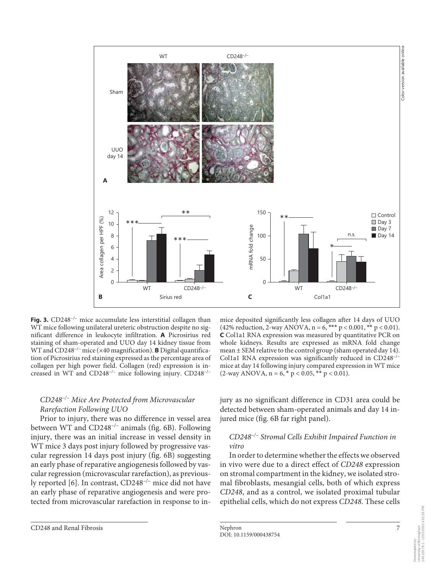WT CD248–/– Sham UUO day 14 **A** \*\* 12 150 □ Control \*\* Area collagen per HPF (%) Area collagen per HPF (%)  $\Box$  Day 3 10 \*\*\* mRNA fold change mRNA fold change Day 7 8 100 n s  $\Box$  Day 14 \*\*\* 6 \* 4 50 2  $\overline{0}$  $\Omega$ WT CD248–/– WT CD248–/– **B** Sirius red **C** Col1a1

**Fig. 3.** CD248<sup>-/–</sup> mice accumulate less interstitial collagen than WT mice following unilateral ureteric obstruction despite no significant difference in leukocyte infiltration. **A** Picrosirius red staining of sham-operated and UUO day 14 kidney tissue from WT and  $CD248^{-/-}$  mice ( $\times$ 40 magnification). **B** Digital quantification of Picrosirius red staining expressed as the percentage area of collagen per high power field. Collagen (red) expression is increased in WT and CD248<sup>-/-</sup> mice following injury.  $CD248^{-/-}$ 

# *CD248 –/– Mice Are Protected from Microvascular Rarefaction Following UUO*

 Prior to injury, there was no difference in vessel area between WT and  $CD248^{-/-}$  animals (fig. 6B). Following injury, there was an initial increase in vessel density in WT mice 3 days post injury followed by progressive vascular regression 14 days post injury (fig. 6B) suggesting an early phase of reparative angiogenesis followed by vascular regression (microvascular rarefaction), as previously reported [6]. In contrast, CD248<sup>-/-</sup> mice did not have an early phase of reparative angiogenesis and were protected from microvascular rarefaction in response to inmice deposited significantly less collagen after 14 days of UUO (42% reduction, 2-way ANOVA,  $n = 6$ , \*\*\*  $p < 0.001$ , \*\*  $p < 0.01$ ). **C** Col1a1 RNA expression was measured by quantitative PCR on whole kidneys. Results are expressed as mRNA fold change mean ± SEM relative to the control group (sham operated day 14). Col1a1 RNA expression was significantly reduced in CD248<sup>-/-</sup> mice at day 14 following injury compared expression in WT mice  $(2$ -way ANOVA,  $n = 6, * p < 0.05, ** p < 0.01$ .

jury as no significant difference in CD31 area could be detected between sham-operated animals and day 14 injured mice (fig. 6B far right panel).

# *CD248 –/– Stromal Cells Exhibit Impaired Function in vitro*

 In order to determine whether the effects we observed in vivo were due to a direct effect of *CD248* expression on stromal compartment in the kidney, we isolated stromal fibroblasts, mesangial cells, both of which express *CD248* , and as a control, we isolated proximal tubular epithelial cells, which do not express *CD248* . These cells



Color version available online

Color version available onlin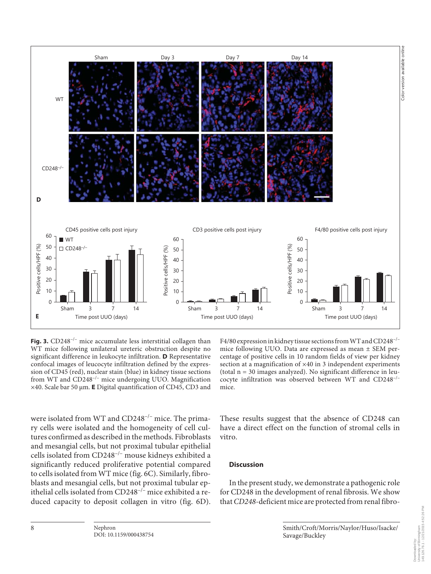

**Fig. 3.** CD248<sup>-/-</sup> mice accumulate less interstitial collagen than WT mice following unilateral ureteric obstruction despite no significant difference in leukocyte infiltration. **D** Representative confocal images of leucocyte infiltration defined by the expression of CD45 (red), nuclear stain (blue) in kidney tissue sections from WT and CD248<sup>-/-</sup> mice undergoing UUO. Magnification ×40. Scale bar 50 μm. **E** Digital quantification of CD45, CD3 and

F4/80 expression in kidney tissue sections from WT and CD248<sup>-/-</sup> mice following UUO. Data are expressed as mean ± SEM percentage of positive cells in 10 random fields of view per kidney section at a magnification of  $\times 40$  in 3 independent experiments (total n = 30 images analyzed). No significant difference in leucocyte infiltration was observed between WT and CD248<sup>-/-</sup> mice.

were isolated from WT and CD248<sup>-/-</sup> mice. The primary cells were isolated and the homogeneity of cell cultures confirmed as described in the methods. Fibroblasts and mesangial cells, but not proximal tubular epithelial cells isolated from CD248<sup>-/-</sup> mouse kidneys exhibited a significantly reduced proliferative potential compared to cells isolated from WT mice (fig. 6C). Similarly, fibroblasts and mesangial cells, but not proximal tubular epithelial cells isolated from CD248<sup>-/-</sup> mice exhibited a reduced capacity to deposit collagen in vitro (fig. 6D). These results suggest that the absence of CD248 can have a direct effect on the function of stromal cells in vitro.

#### **Discussion**

 In the present study, we demonstrate a pathogenic role for CD248 in the development of renal fibrosis. We show that *CD248* -deficient mice are protected from renal fibro-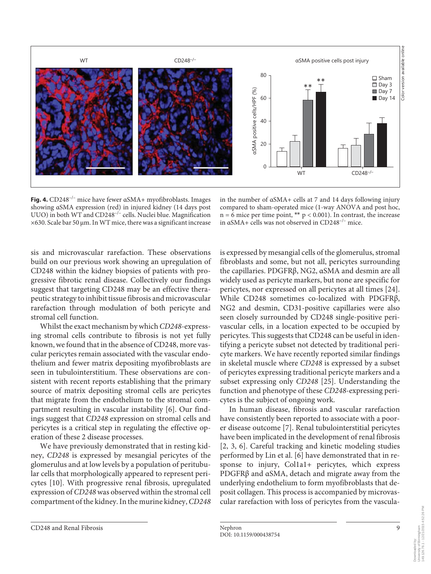

**Fig. 4.** CD248<sup>-/-</sup> mice have fewer αSMA+ myofibroblasts. Images showing αSMA expression (red) in injured kidney (14 days post UUO) in both WT and CD248<sup>-/-</sup> cells. Nuclei blue. Magnification ×630. Scale bar 50 μm. In WT mice, there was a significant increase

in the number of αSMA+ cells at 7 and 14 days following injury compared to sham-operated mice (1-way ANOVA and post hoc,  $n = 6$  mice per time point, \*\*  $p < 0.001$ ). In contrast, the increase in  $\alpha$ SMA+ cells was not observed in CD248<sup>-/-</sup> mice.

sis and microvascular rarefaction. These observations build on our previous work showing an upregulation of CD248 within the kidney biopsies of patients with progressive fibrotic renal disease. Collectively our findings suggest that targeting CD248 may be an effective therapeutic strategy to inhibit tissue fibrosis and microvascular rarefaction through modulation of both pericyte and stromal cell function.

 Whilst the exact mechanism by which *CD248* -expressing stromal cells contribute to fibrosis is not yet fully known, we found that in the absence of CD248, more vascular pericytes remain associated with the vascular endothelium and fewer matrix depositing myofibroblasts are seen in tubulointerstitium. These observations are consistent with recent reports establishing that the primary source of matrix depositing stromal cells are pericytes that migrate from the endothelium to the stromal compartment resulting in vascular instability [6]. Our findings suggest that *CD248* expression on stromal cells and pericytes is a critical step in regulating the effective operation of these 2 disease processes.

 We have previously demonstrated that in resting kidney, *CD248* is expressed by mesangial pericytes of the glomerulus and at low levels by a population of peritubular cells that morphologically appeared to represent pericytes [10]. With progressive renal fibrosis, upregulated expression of *CD248* was observed within the stromal cell compartment of the kidney. In the murine kidney, *CD248* is expressed by mesangial cells of the glomerulus, stromal fibroblasts and some, but not all, pericytes surrounding the capillaries. PDGFRβ, NG2, αSMA and desmin are all widely used as pericyte markers, but none are specific for pericytes, nor expressed on all pericytes at all times [24] . While CD248 sometimes co-localized with PDGFRβ, NG2 and desmin, CD31-positive capillaries were also seen closely surrounded by CD248 single-positive perivascular cells, in a location expected to be occupied by pericytes. This suggests that CD248 can be useful in identifying a pericyte subset not detected by traditional pericyte markers. We have recently reported similar findings in skeletal muscle where *CD248* is expressed by a subset of pericytes expressing traditional pericyte markers and a subset expressing only *CD248* [25]. Understanding the function and phenotype of these *CD248* -expressing pericytes is the subject of ongoing work.

 In human disease, fibrosis and vascular rarefaction have consistently been reported to associate with a poorer disease outcome [7]. Renal tubulointerstitial pericytes have been implicated in the development of renal fibrosis [2, 3, 6]. Careful tracking and kinetic modeling studies performed by Lin et al.[6] have demonstrated that in response to injury, Col1a1+ pericytes, which express PDGFRβ and αSMA, detach and migrate away from the underlying endothelium to form myofibroblasts that deposit collagen. This process is accompanied by microvascular rarefaction with loss of pericytes from the vascula-

9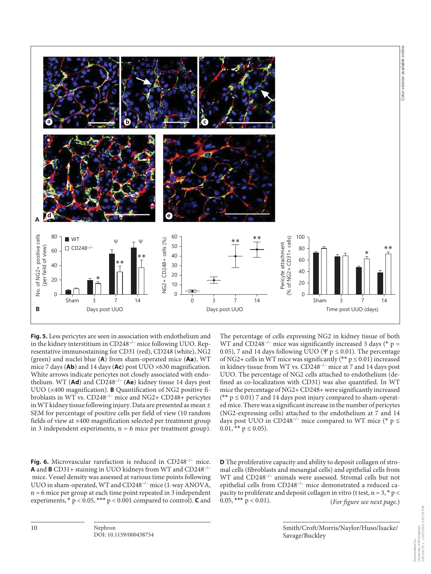

**Fig. 5.** Less pericytes are seen in association with endothelium and in the kidney interstitium in CD248<sup>-/-</sup> mice following UUO. Representative immunostaining for CD31 (red), CD248 (white), NG2 (green) and nuclei blue  $(A)$  from sham-operated mice  $(Aa)$ , WT mice 7 days (**Ab**) and 14 days (**Ac**) post UUO ×630 magnification. White arrows indicate pericytes not closely associated with endothelium. WT ( $Ad$ ) and  $CD248^{-/-}$  ( $A$ e) kidney tissue 14 days post UUO (×400 magnification). **B** Quantification of NG2 positive fibroblasts in WT vs. CD248<sup>-/-</sup> mice and NG2+ CD248+ pericytes in WT kidney tissue following injury. Data are presented as mean ± SEM for percentage of positive cells per field of view (10 random fields of view at ×400 magnification selected per treatment group in 3 independent experiments,  $n = 6$  mice per treatment group).

The percentage of cells expressing NG2 in kidney tissue of both WT and CD248<sup>-/-</sup> mice was significantly increased 3 days (\*  $p =$ 0.05), 7 and 14 days following UUO ( $\Psi$  p  $\leq$  0.01). The percentage of NG2+ cells in WT mice was significantly ( $*$  $p \le 0.01$ ) increased in kidney tissue from WT vs. CD248<sup>-/-</sup> mice at 7 and 14 days post UUO. The percentage of NG2 cells attached to endothelium (defined as co-localization with CD31) was also quantified. In WT mice the percentage of NG2+ CD248+ were significantly increased (\*\*  $p \le 0.01$ ) 7 and 14 days post injury compared to sham-operated mice. There was a significant increase in the number of pericytes (NG2-expressing cells) attached to the endothelium at 7 and 14 days post UUO in CD248<sup>-/-</sup> mice compared to WT mice (\*  $p \le$  $0.01$ , \*\*  $p \le 0.05$ ).

Fig. 6. Microvascular rarefaction is reduced in CD248<sup>-/-</sup> mice. **A** and **B** CD31+ staining in UUO kidneys from WT and CD248<sup>-/-</sup> mice. Vessel density was assessed at various time points following UUO in sham-operated, WT and CD248<sup>-/-</sup> mice (1-way ANOVA, n = 6 mice per group at each time point repeated in 3 independent experiments,  $* p < 0.05$ ,  $** p < 0.001$  compared to control). **C** and

**D** The proliferative capacity and ability to deposit collagen of stromal cells (fibroblasts and mesangial cells) and epithelial cells from WT and CD248<sup>-/-</sup> animals were assessed. Stromal cells but not epithelial cells from CD248<sup>-/-</sup> mice demonstrated a reduced capacity to proliferate and deposit collagen in vitro (t test,  $n = 3$ ,  $n \ge 0.05$ ,  $*** p < 0.01$ ). (For figure see next page.) 0.05, \* \* \* p < 0.01). (*For figure see next page.*)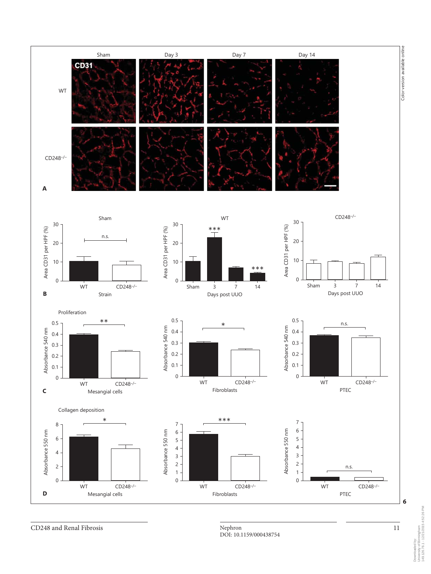

CD248 and Renal Fibrosis Nephron

DOI: 10.1159/000438754

Downloaded by:<br>University of Birmingham<br>149.126.76.1 - 12/21/2015 4:52:26 PM 149.126.76.1 - 12/21/2015 4:52:26 PMUniversity of Birmingham Downloaded by:

11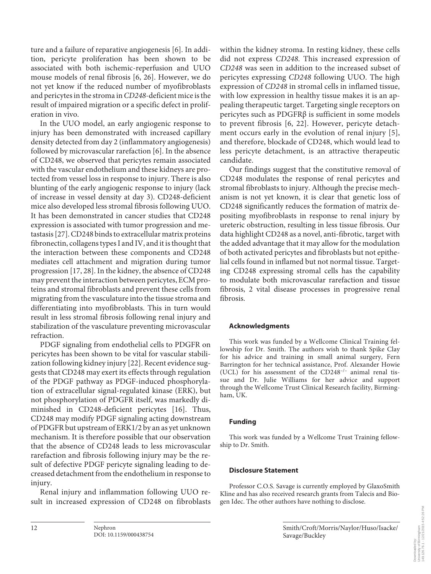ture and a failure of reparative angiogenesis [6]. In addition, pericyte proliferation has been shown to be associated with both ischemic-reperfusion and UUO mouse models of renal fibrosis [6, 26] . However, we do not yet know if the reduced number of myofibroblasts and pericytes in the stroma in *CD248* -deficient mice is the result of impaired migration or a specific defect in proliferation in vivo.

 In the UUO model, an early angiogenic response to injury has been demonstrated with increased capillary density detected from day 2 (inflammatory angiogenesis) followed by microvascular rarefaction [6]. In the absence of CD248, we observed that pericytes remain associated with the vascular endothelium and these kidneys are protected from vessel loss in response to injury. There is also blunting of the early angiogenic response to injury (lack of increase in vessel density at day 3). CD248-deficient mice also developed less stromal fibrosis following UUO. It has been demonstrated in cancer studies that CD248 expression is associated with tumor progression and metastasis [27] . CD248 binds to extracellular matrix proteins fibronectin, collagens types I and IV, and it is thought that the interaction between these components and CD248 mediates cell attachment and migration during tumor progression [17, 28] . In the kidney, the absence of CD248 may prevent the interaction between pericytes, ECM proteins and stromal fibroblasts and prevent these cells from migrating from the vasculature into the tissue stroma and differentiating into myofibroblasts. This in turn would result in less stromal fibrosis following renal injury and stabilization of the vasculature preventing microvascular refraction.

 PDGF signaling from endothelial cells to PDGFR on pericytes has been shown to be vital for vascular stabilization following kidney injury [22] . Recent evidence suggests that CD248 may exert its effects through regulation of the PDGF pathway as PDGF-induced phosphorylation of extracellular signal-regulated kinase (ERK), but not phosphorylation of PDGFR itself, was markedly diminished in CD248-deficient pericytes [16]. Thus, CD248 may modify PDGF signaling acting downstream of PDGFR but upstream of ERK1/2 by an as yet unknown mechanism. It is therefore possible that our observation that the absence of CD248 leads to less microvascular rarefaction and fibrosis following injury may be the result of defective PDGF pericyte signaling leading to decreased detachment from the endothelium in response to injury.

 Renal injury and inflammation following UUO result in increased expression of CD248 on fibroblasts within the kidney stroma. In resting kidney, these cells did not express *CD248* . This increased expression of *CD248* was seen in addition to the increased subset of pericytes expressing *CD248* following UUO. The high expression of *CD248* in stromal cells in inflamed tissue, with low expression in healthy tissue makes it is an appealing therapeutic target. Targeting single receptors on pericytes such as PDGFRβ is sufficient in some models to prevent fibrosis [6, 22]. However, pericyte detachment occurs early in the evolution of renal injury [5], and therefore, blockade of CD248, which would lead to less pericyte detachment, is an attractive therapeutic candidate.

 Our findings suggest that the constitutive removal of CD248 modulates the response of renal pericytes and stromal fibroblasts to injury. Although the precise mechanism is not yet known, it is clear that genetic loss of CD248 significantly reduces the formation of matrix depositing myofibroblasts in response to renal injury by ureteric obstruction, resulting in less tissue fibrosis. Our data highlight CD248 as a novel, anti-fibrotic, target with the added advantage that it may allow for the modulation of both activated pericytes and fibroblasts but not epithelial cells found in inflamed but not normal tissue. Targeting CD248 expressing stromal cells has the capability to modulate both microvascular rarefaction and tissue fibrosis, 2 vital disease processes in progressive renal fibrosis.

#### **Acknowledgments**

 This work was funded by a Wellcome Clinical Training fellowship for Dr. Smith. The authors wish to thank Spike Clay for his advice and training in small animal surgery, Fern Barrington for her technical assistance, Prof. Alexander Howie (UCL) for his assessment of the  $CD248^{-/-}$  animal renal tissue and Dr. Julie Williams for her advice and support through the Wellcome Trust Clinical Research facility, Birmingham, UK.

#### **Funding**

 This work was funded by a Wellcome Trust Training fellowship to Dr. Smith.

#### **Disclosure Statement**

 Professor C.O.S. Savage is currently employed by GlaxoSmith Kline and has also received research grants from Talecis and Biogen Idec. The other authors have nothing to disclose.

Savage/Buckley

Smith/Croft/Morris/Naylor/Huso/Isacke/